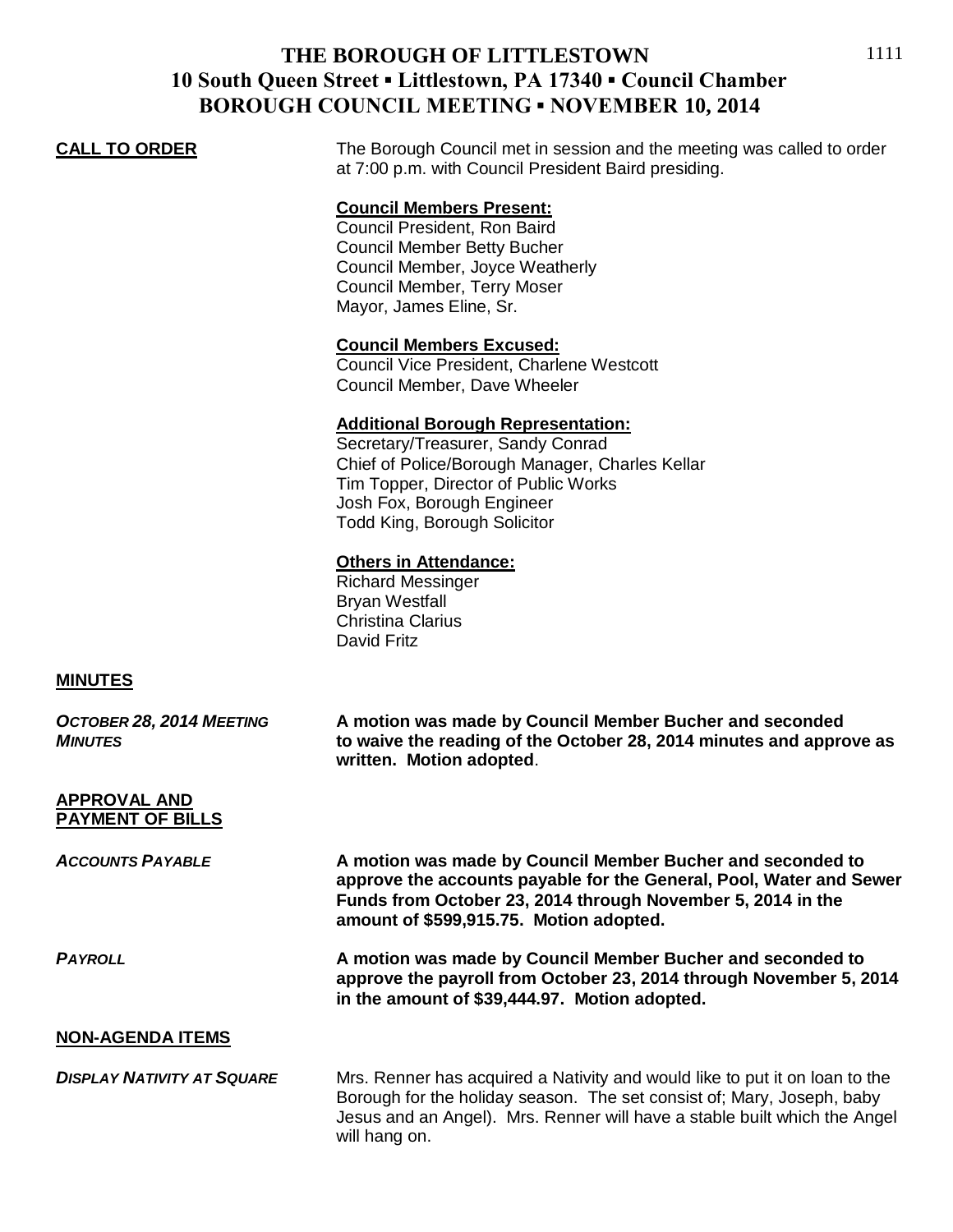## **THE BOROUGH OF LITTLESTOWN 10 South Queen Street ▪ Littlestown, PA 17340 ▪ Council Chamber BOROUGH COUNCIL MEETING ▪ NOVEMBER 10, 2014**

**CALL TO ORDER** The Borough Council met in session and the meeting was called to order at 7:00 p.m. with Council President Baird presiding.

## **Council Members Present:**

Council President, Ron Baird Council Member Betty Bucher Council Member, Joyce Weatherly Council Member, Terry Moser Mayor, James Eline, Sr.

### **Council Members Excused:**

Council Vice President, Charlene Westcott Council Member, Dave Wheeler

#### **Additional Borough Representation:**

Secretary/Treasurer, Sandy Conrad Chief of Police/Borough Manager, Charles Kellar Tim Topper, Director of Public Works Josh Fox, Borough Engineer Todd King, Borough Solicitor

#### **Others in Attendance:**

Richard Messinger Bryan Westfall Christina Clarius David Fritz

will hang on.

#### **MINUTES**

| OCTOBER 28, 2014 MEETING<br><b>MINUTES</b>     | A motion was made by Council Member Bucher and seconded<br>to waive the reading of the October 28, 2014 minutes and approve as<br>written. Motion adopted.                                                                                  |
|------------------------------------------------|---------------------------------------------------------------------------------------------------------------------------------------------------------------------------------------------------------------------------------------------|
| <b>APPROVAL AND</b><br><b>PAYMENT OF BILLS</b> |                                                                                                                                                                                                                                             |
| <b>ACCOUNTS PAYABLE</b>                        | A motion was made by Council Member Bucher and seconded to<br>approve the accounts payable for the General, Pool, Water and Sewer<br>Funds from October 23, 2014 through November 5, 2014 in the<br>amount of \$599,915.75. Motion adopted. |
| <b>PAYROLL</b>                                 | A motion was made by Council Member Bucher and seconded to<br>approve the payroll from October 23, 2014 through November 5, 2014<br>in the amount of \$39,444.97. Motion adopted.                                                           |
| <b>NON-AGENDA ITEMS</b>                        |                                                                                                                                                                                                                                             |
| <b>DISPLAY NATIVITY AT SQUARE</b>              | Mrs. Renner has acquired a Nativity and would like to put it on loan to the<br>Borough for the holiday season. The set consist of; Mary, Joseph, baby<br>Jesus and an Angel). Mrs. Renner will have a stable built which the Angel          |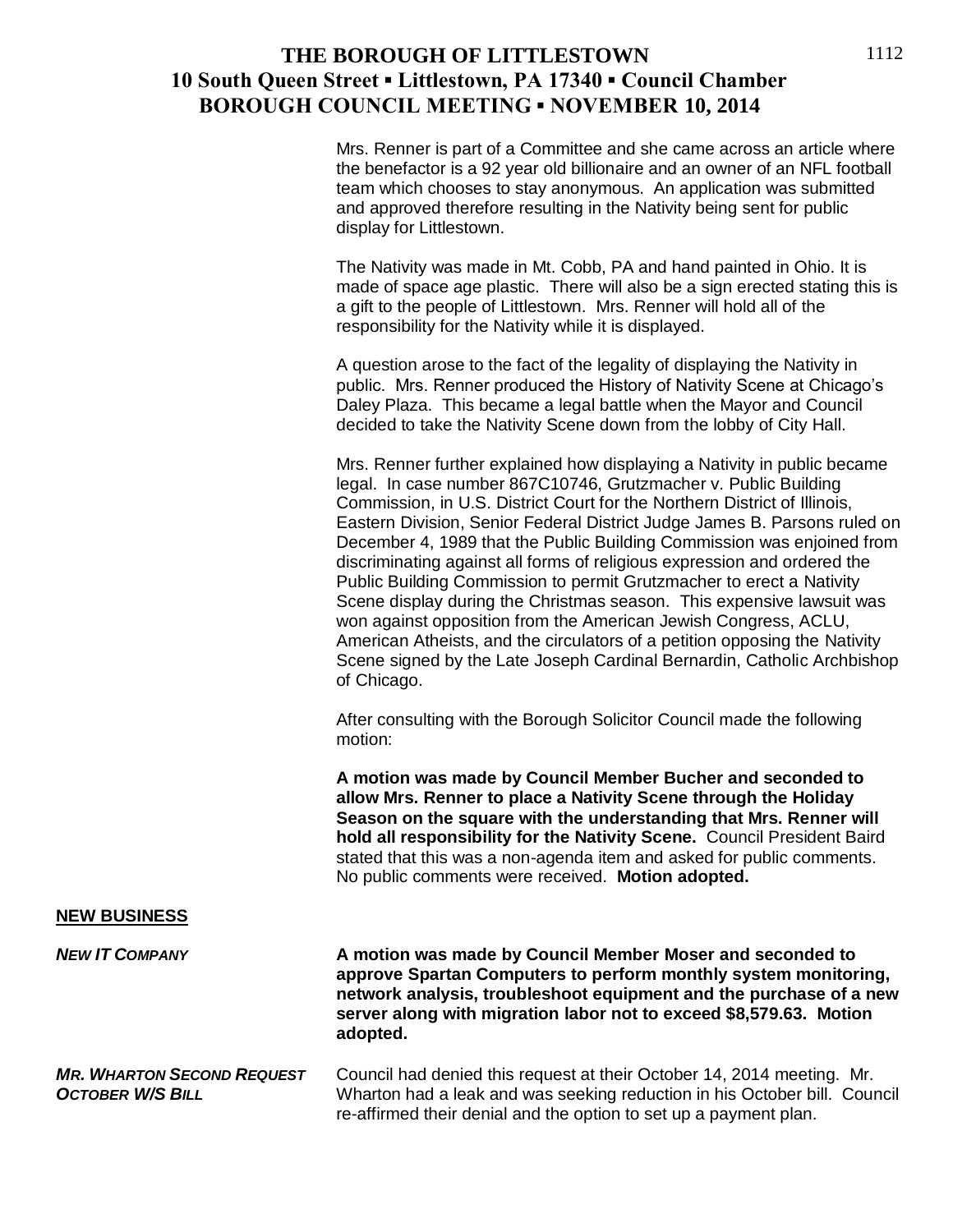## **THE BOROUGH OF LITTLESTOWN 10 South Queen Street ▪ Littlestown, PA 17340 ▪ Council Chamber BOROUGH COUNCIL MEETING ▪ NOVEMBER 10, 2014**

Mrs. Renner is part of a Committee and she came across an article where the benefactor is a 92 year old billionaire and an owner of an NFL football team which chooses to stay anonymous. An application was submitted and approved therefore resulting in the Nativity being sent for public display for Littlestown.

The Nativity was made in Mt. Cobb, PA and hand painted in Ohio. It is made of space age plastic. There will also be a sign erected stating this is a gift to the people of Littlestown. Mrs. Renner will hold all of the responsibility for the Nativity while it is displayed.

A question arose to the fact of the legality of displaying the Nativity in public. Mrs. Renner produced the History of Nativity Scene at Chicago's Daley Plaza. This became a legal battle when the Mayor and Council decided to take the Nativity Scene down from the lobby of City Hall.

Mrs. Renner further explained how displaying a Nativity in public became legal. In case number 867C10746, Grutzmacher v. Public Building Commission, in U.S. District Court for the Northern District of Illinois, Eastern Division, Senior Federal District Judge James B. Parsons ruled on December 4, 1989 that the Public Building Commission was enjoined from discriminating against all forms of religious expression and ordered the Public Building Commission to permit Grutzmacher to erect a Nativity Scene display during the Christmas season. This expensive lawsuit was won against opposition from the American Jewish Congress, ACLU, American Atheists, and the circulators of a petition opposing the Nativity Scene signed by the Late Joseph Cardinal Bernardin, Catholic Archbishop of Chicago.

After consulting with the Borough Solicitor Council made the following motion:

**A motion was made by Council Member Bucher and seconded to allow Mrs. Renner to place a Nativity Scene through the Holiday Season on the square with the understanding that Mrs. Renner will hold all responsibility for the Nativity Scene.** Council President Baird stated that this was a non-agenda item and asked for public comments. No public comments were received. **Motion adopted.**

#### **NEW BUSINESS**

*NEW IT COMPANY* **A motion was made by Council Member Moser and seconded to approve Spartan Computers to perform monthly system monitoring, network analysis, troubleshoot equipment and the purchase of a new server along with migration labor not to exceed \$8,579.63. Motion adopted.**

*MR. WHARTON SECOND REQUEST* Council had denied this request at their October 14, 2014 meeting. Mr. **OCTOBER W/S BILL** Wharton had a leak and was seeking reduction in his October bill. Council re-affirmed their denial and the option to set up a payment plan.